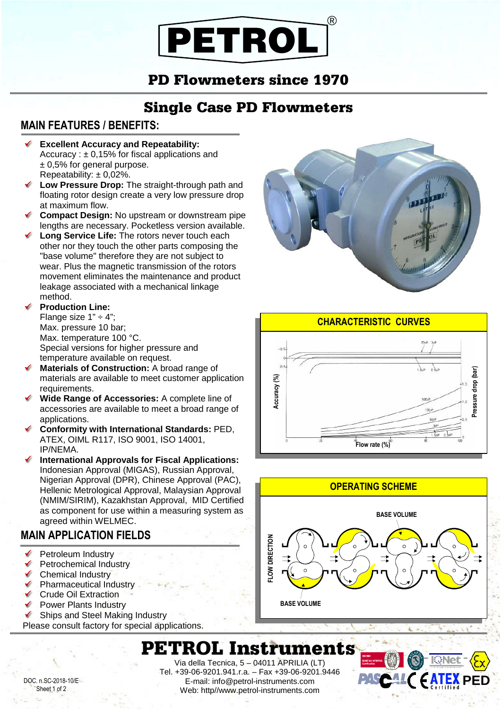# PETROL ®

### PD Flowmeters since 1970

## Single Case PD Flowmeters

#### **MAIN FEATURES / BENEFITS:**

ľ

- ✔ **Excellent Accuracy and Repeatability:** Accuracy :  $\pm$  0,15% for fiscal applications and ± 0,5% for general purpose. Repeatability:  $\pm 0.02\%$ .
- **Low Pressure Drop:** The straight-through path and floating rotor design create a very low pressure drop at maximum flow.
- **Compact Design:** No upstream or downstream pipe lengths are necessary. Pocketless version available.
- **Long Service Life:** The rotors never touch each other nor they touch the other parts composing the "base volume" therefore they are not subject to wear. Plus the magnetic transmission of the rotors movement eliminates the maintenance and product leakage associated with a mechanical linkage method.

#### **Production Line:**

Flange size  $1" \div 4"$ ; Max. pressure 10 bar; Max. temperature 100 °C. Special versions for higher pressure and temperature available on request.

- **Materials of Construction:** A broad range of materials are available to meet customer application requirements.
- **Wide Range of Accessories:** A complete line of accessories are available to meet a broad range of applications.
- **Conformity with International Standards:** PED, ATEX, OIML R117, ISO 9001, ISO 14001, IP/NEMA.
- **International Approvals for Fiscal Applications:** Indonesian Approval (MIGAS), Russian Approval, Nigerian Approval (DPR), Chinese Approval (PAC), Hellenic Metrological Approval, Malaysian Approval (NMIM/SIRIM), Kazakhstan Approval, MID Certified as component for use within a measuring system as agreed within WELMEC.

#### **MAIN APPLICATION FIELDS**

- $\checkmark$  Petroleum Industry
- Petrochemical Industry
- Chemical Industry
- Pharmaceutical Industry
- Crude Oil Extraction
- Power Plants Industry
- ◆ Ships and Steel Making Industry
- Please consult factory for special applications.







### PETROL Instruments

DOC. n.SC-2018-10/E Sheet 1 of 2

Via della Tecnica, 5 – 04011 APRILIA (LT) Tel. +39-06-9201.941.r.a. – Fax +39-06-9201.9446 E-mail: info@petrol-instruments.com Web: http//www.petrol-instruments.com